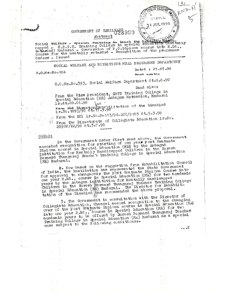

Social Welfare - spesies weathing to teach the Manus and capped - S.B.T.T. Training College in special education (men tra.) let the B.Ed., conversion of P.G. Diploma course in to B.Ed., Course for the mentally retarded - R men taily Orders - Issued

SOCIAL WELFARE AMD NUTRITIOUS MEAL PROGRAMME DEPARTMENT

 $0.0$ <sub>a</sub> $M$ s a $N$ o. 184

SITTING.

Dated: 27.07.98

APPAL **1 JUL 1998**  RND

...2

**Being homes** fre

G.O.Ms.No.393, Social Welfare Department dt.9.8.90

Read also:

From the Vice President, SBTT Training College in Special Education (MR) Anbagam Extension, Madurai 1r.dt.28.01.98

From the Director Fehabilitation of the Disabled<br>1r.No.1895/98 dt. 7.5.98 por

From the RCI 1r. No.8-113/94-RCI/9185 dt.5.3.98

From the Directorate of Collegiate Education 1r.No. 28902/R2/98 at.3.7.98

In the Government Order first read above, the Government<br>accorded recognition for starting of one year Post Gratuate<br>Diploma course in Special Education (MR) by the Anbagan<br>Institution for Mentally Handicapped Children in (MR) Madurai.

2. Now based on the suggestion from Rehabilitation Council<br>of India, the institution has represented the State Government<br>for approval to changeover the Post Gratuate Diploma Course into<br>one year B.Ed., course in Special E years by the Anbagam institution for Mentally Handicapped<br>Children in the Suresh Bormard Thangaraj Toscher Training College<br>in Special Education (MR) Madurai. The Director for Rehabili-<br>tation of the Disabled has recommend

3. The Government in consultation with the Director of Collegiate Education, Chennai accord recognition to the changing<br>over of the Post Gratuate Diploma course in Special Education (MR) into one year B.Ed., course in Special Education (MR) for two andomic year B.Ed., course in Special Education (MR) for two academic years to be offered by Suresh Bernard Thangaraj Teacher<br>Training College in Special Educat